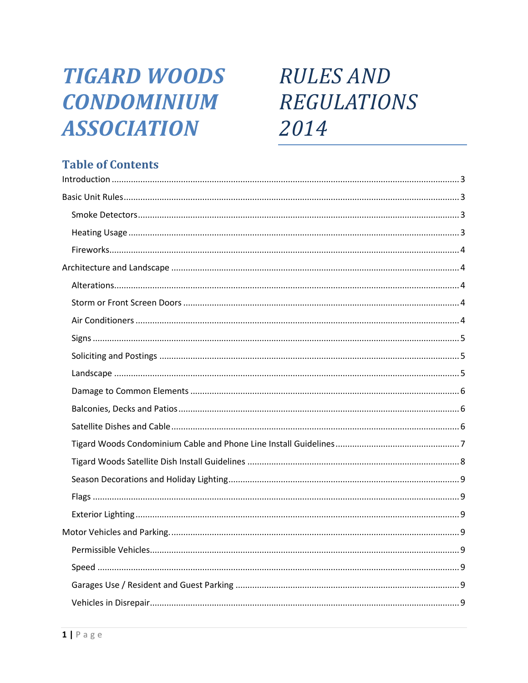## **TIGARD WOODS CONDOMINIUM ASSOCIATION**

# **RULES AND REGULATIONS** 2014

## **Table of Contents**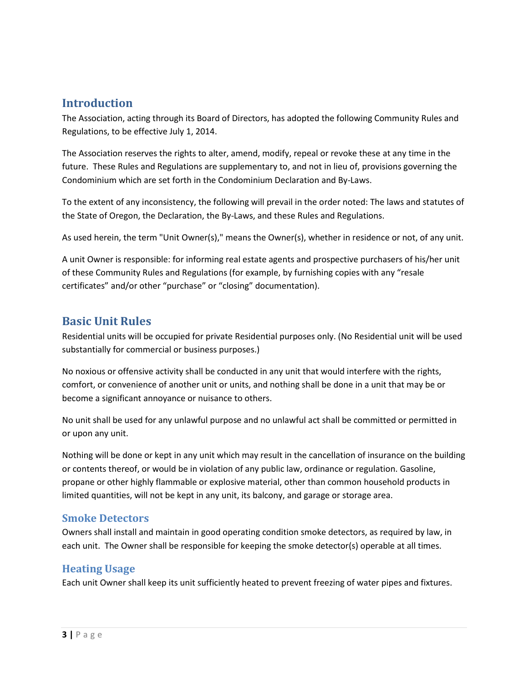## <span id="page-2-0"></span>**Introduction**

The Association, acting through its Board of Directors, has adopted the following Community Rules and Regulations, to be effective July 1, 2014.

The Association reserves the rights to alter, amend, modify, repeal or revoke these at any time in the future. These Rules and Regulations are supplementary to, and not in lieu of, provisions governing the Condominium which are set forth in the Condominium Declaration and By-Laws.

To the extent of any inconsistency, the following will prevail in the order noted: The laws and statutes of the State of Oregon, the Declaration, the By-Laws, and these Rules and Regulations.

As used herein, the term "Unit Owner(s)," means the Owner(s), whether in residence or not, of any unit.

A unit Owner is responsible: for informing real estate agents and prospective purchasers of his/her unit of these Community Rules and Regulations (for example, by furnishing copies with any "resale certificates" and/or other "purchase" or "closing" documentation).

## <span id="page-2-1"></span>**Basic Unit Rules**

Residential units will be occupied for private Residential purposes only. (No Residential unit will be used substantially for commercial or business purposes.)

No noxious or offensive activity shall be conducted in any unit that would interfere with the rights, comfort, or convenience of another unit or units, and nothing shall be done in a unit that may be or become a significant annoyance or nuisance to others.

No unit shall be used for any unlawful purpose and no unlawful act shall be committed or permitted in or upon any unit.

Nothing will be done or kept in any unit which may result in the cancellation of insurance on the building or contents thereof, or would be in violation of any public law, ordinance or regulation. Gasoline, propane or other highly flammable or explosive material, other than common household products in limited quantities, will not be kept in any unit, its balcony, and garage or storage area.

#### <span id="page-2-2"></span>**Smoke Detectors**

Owners shall install and maintain in good operating condition smoke detectors, as required by law, in each unit. The Owner shall be responsible for keeping the smoke detector(s) operable at all times.

#### <span id="page-2-3"></span>**Heating Usage**

Each unit Owner shall keep its unit sufficiently heated to prevent freezing of water pipes and fixtures.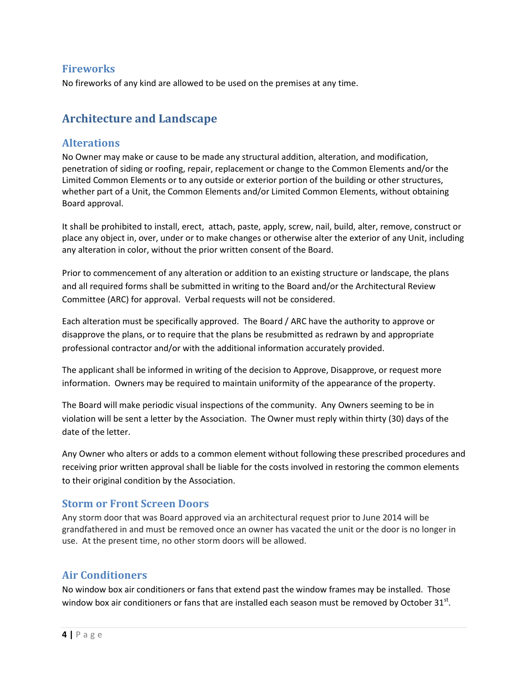#### <span id="page-3-0"></span>**Fireworks**

No fireworks of any kind are allowed to be used on the premises at any time.

## <span id="page-3-1"></span>**Architecture and Landscape**

#### <span id="page-3-2"></span>**Alterations**

No Owner may make or cause to be made any structural addition, alteration, and modification, penetration of siding or roofing, repair, replacement or change to the Common Elements and/or the Limited Common Elements or to any outside or exterior portion of the building or other structures, whether part of a Unit, the Common Elements and/or Limited Common Elements, without obtaining Board approval.

It shall be prohibited to install, erect, attach, paste, apply, screw, nail, build, alter, remove, construct or place any object in, over, under or to make changes or otherwise alter the exterior of any Unit, including any alteration in color, without the prior written consent of the Board.

Prior to commencement of any alteration or addition to an existing structure or landscape, the plans and all required forms shall be submitted in writing to the Board and/or the Architectural Review Committee (ARC) for approval. Verbal requests will not be considered.

Each alteration must be specifically approved. The Board / ARC have the authority to approve or disapprove the plans, or to require that the plans be resubmitted as redrawn by and appropriate professional contractor and/or with the additional information accurately provided.

The applicant shall be informed in writing of the decision to Approve, Disapprove, or request more information. Owners may be required to maintain uniformity of the appearance of the property.

The Board will make periodic visual inspections of the community. Any Owners seeming to be in violation will be sent a letter by the Association. The Owner must reply within thirty (30) days of the date of the letter.

Any Owner who alters or adds to a common element without following these prescribed procedures and receiving prior written approval shall be liable for the costs involved in restoring the common elements to their original condition by the Association.

#### <span id="page-3-3"></span>**Storm or Front Screen Doors**

Any storm door that was Board approved via an architectural request prior to June 2014 will be grandfathered in and must be removed once an owner has vacated the unit or the door is no longer in use. At the present time, no other storm doors will be allowed.

#### <span id="page-3-4"></span>**Air Conditioners**

No window box air conditioners or fans that extend past the window frames may be installed. Those window box air conditioners or fans that are installed each season must be removed by October 31 $^{\text{st}}$ .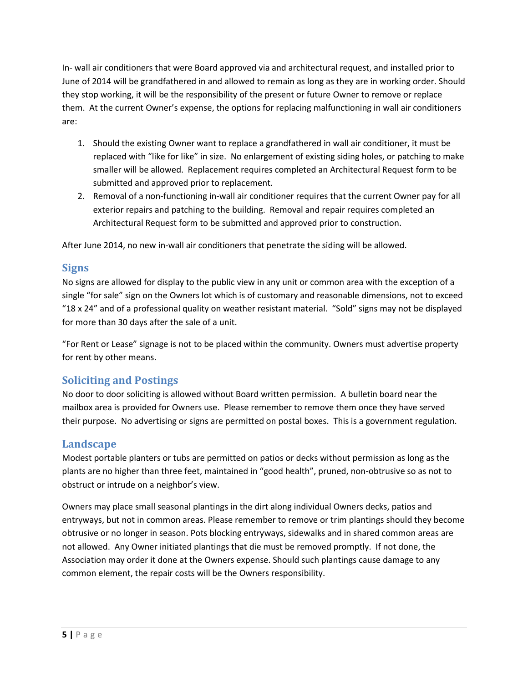In- wall air conditioners that were Board approved via and architectural request, and installed prior to June of 2014 will be grandfathered in and allowed to remain as long as they are in working order. Should they stop working, it will be the responsibility of the present or future Owner to remove or replace them. At the current Owner's expense, the options for replacing malfunctioning in wall air conditioners are:

- 1. Should the existing Owner want to replace a grandfathered in wall air conditioner, it must be replaced with "like for like" in size. No enlargement of existing siding holes, or patching to make smaller will be allowed. Replacement requires completed an Architectural Request form to be submitted and approved prior to replacement.
- 2. Removal of a non-functioning in-wall air conditioner requires that the current Owner pay for all exterior repairs and patching to the building. Removal and repair requires completed an Architectural Request form to be submitted and approved prior to construction.

After June 2014, no new in-wall air conditioners that penetrate the siding will be allowed.

#### <span id="page-4-0"></span>**Signs**

No signs are allowed for display to the public view in any unit or common area with the exception of a single "for sale" sign on the Owners lot which is of customary and reasonable dimensions, not to exceed "18 x 24" and of a professional quality on weather resistant material. "Sold" signs may not be displayed for more than 30 days after the sale of a unit.

"For Rent or Lease" signage is not to be placed within the community. Owners must advertise property for rent by other means.

## <span id="page-4-1"></span>**Soliciting and Postings**

No door to door soliciting is allowed without Board written permission. A bulletin board near the mailbox area is provided for Owners use. Please remember to remove them once they have served their purpose. No advertising or signs are permitted on postal boxes. This is a government regulation.

#### <span id="page-4-2"></span>**Landscape**

Modest portable planters or tubs are permitted on patios or decks without permission as long as the plants are no higher than three feet, maintained in "good health", pruned, non-obtrusive so as not to obstruct or intrude on a neighbor's view.

Owners may place small seasonal plantings in the dirt along individual Owners decks, patios and entryways, but not in common areas. Please remember to remove or trim plantings should they become obtrusive or no longer in season. Pots blocking entryways, sidewalks and in shared common areas are not allowed. Any Owner initiated plantings that die must be removed promptly. If not done, the Association may order it done at the Owners expense. Should such plantings cause damage to any common element, the repair costs will be the Owners responsibility.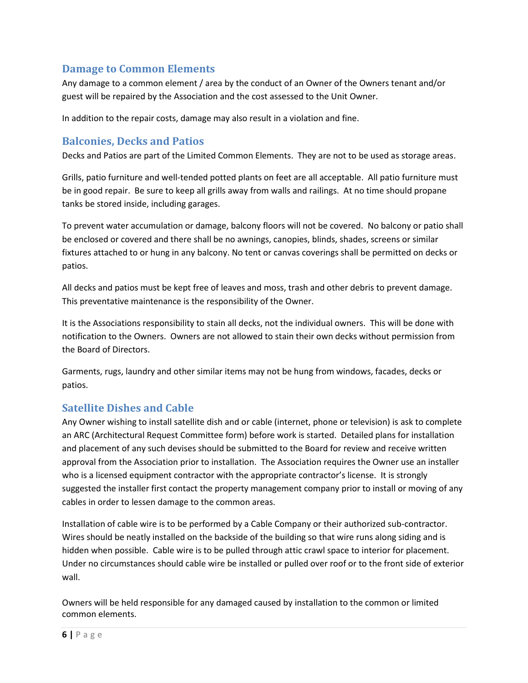#### <span id="page-5-0"></span>**Damage to Common Elements**

Any damage to a common element / area by the conduct of an Owner of the Owners tenant and/or guest will be repaired by the Association and the cost assessed to the Unit Owner.

In addition to the repair costs, damage may also result in a violation and fine.

#### <span id="page-5-1"></span>**Balconies, Decks and Patios**

Decks and Patios are part of the Limited Common Elements. They are not to be used as storage areas.

Grills, patio furniture and well-tended potted plants on feet are all acceptable. All patio furniture must be in good repair. Be sure to keep all grills away from walls and railings. At no time should propane tanks be stored inside, including garages.

To prevent water accumulation or damage, balcony floors will not be covered. No balcony or patio shall be enclosed or covered and there shall be no awnings, canopies, blinds, shades, screens or similar fixtures attached to or hung in any balcony. No tent or canvas coverings shall be permitted on decks or patios.

All decks and patios must be kept free of leaves and moss, trash and other debris to prevent damage. This preventative maintenance is the responsibility of the Owner.

It is the Associations responsibility to stain all decks, not the individual owners. This will be done with notification to the Owners. Owners are not allowed to stain their own decks without permission from the Board of Directors.

Garments, rugs, laundry and other similar items may not be hung from windows, facades, decks or patios.

#### <span id="page-5-2"></span>**Satellite Dishes and Cable**

Any Owner wishing to install satellite dish and or cable (internet, phone or television) is ask to complete an ARC (Architectural Request Committee form) before work is started. Detailed plans for installation and placement of any such devises should be submitted to the Board for review and receive written approval from the Association prior to installation. The Association requires the Owner use an installer who is a licensed equipment contractor with the appropriate contractor's license. It is strongly suggested the installer first contact the property management company prior to install or moving of any cables in order to lessen damage to the common areas.

Installation of cable wire is to be performed by a Cable Company or their authorized sub-contractor. Wires should be neatly installed on the backside of the building so that wire runs along siding and is hidden when possible. Cable wire is to be pulled through attic crawl space to interior for placement. Under no circumstances should cable wire be installed or pulled over roof or to the front side of exterior wall.

Owners will be held responsible for any damaged caused by installation to the common or limited common elements.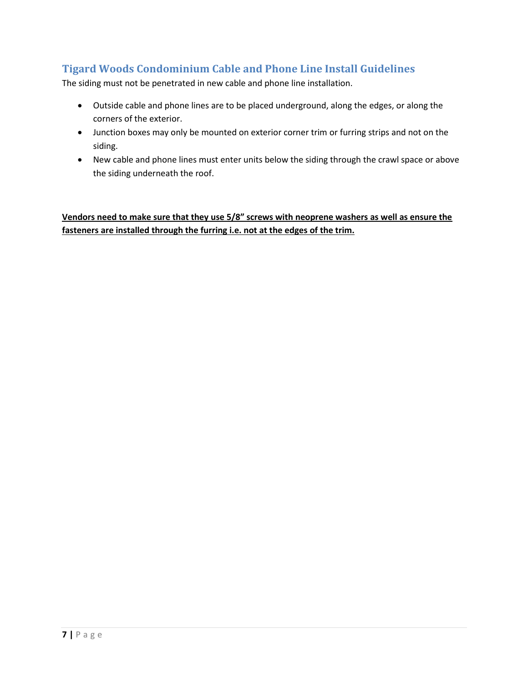## <span id="page-6-0"></span>**Tigard Woods Condominium Cable and Phone Line Install Guidelines**

The siding must not be penetrated in new cable and phone line installation.

- Outside cable and phone lines are to be placed underground, along the edges, or along the corners of the exterior.
- Junction boxes may only be mounted on exterior corner trim or furring strips and not on the siding.
- New cable and phone lines must enter units below the siding through the crawl space or above the siding underneath the roof.

**Vendors need to make sure that they use 5/8" screws with neoprene washers as well as ensure the fasteners are installed through the furring i.e. not at the edges of the trim.**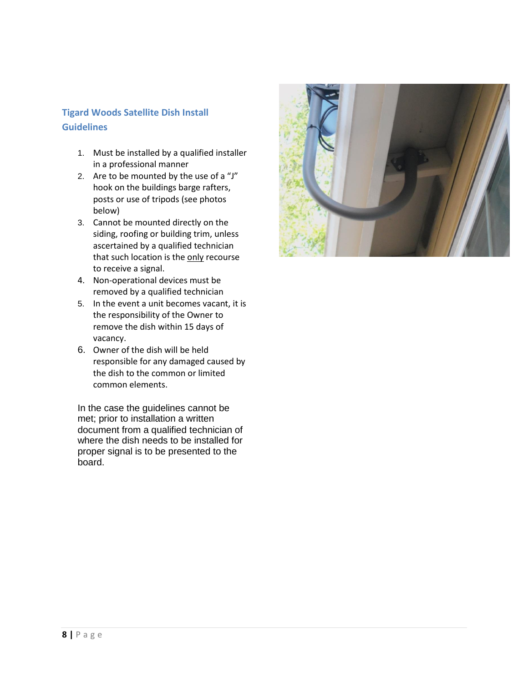#### <span id="page-7-0"></span>**Tigard Woods Satellite Dish Install Guidelines**

- 1. Must be installed by a qualified installer in a professional manner
- 2. Are to be mounted by the use of a "J" hook on the buildings barge rafters, posts or use of tripods (see photos below)
- 3. Cannot be mounted directly on the siding, roofing or building trim, unless ascertained by a qualified technician that such location is the only recourse to receive a signal.
- 4. Non-operational devices must be removed by a qualified technician
- 5. In the event a unit becomes vacant, it is the responsibility of the Owner to remove the dish within 15 days of vacancy.
- 6. Owner of the dish will be held responsible for any damaged caused by the dish to the common or limited common elements.

In the case the guidelines cannot be met; prior to installation a written document from a qualified technician of where the dish needs to be installed for proper signal is to be presented to the board.

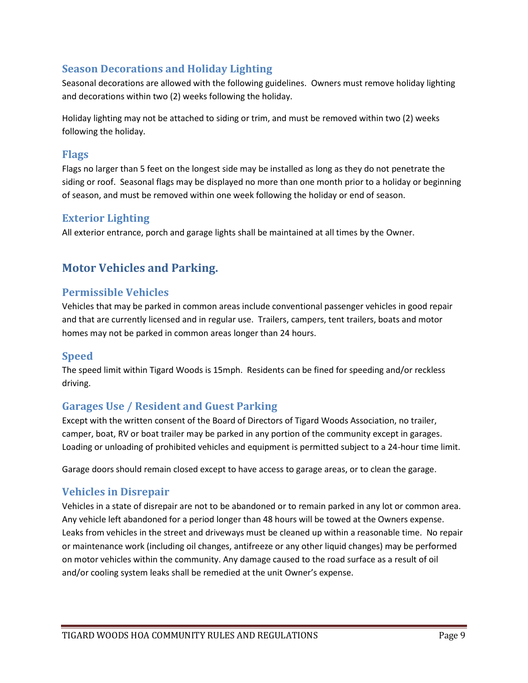#### <span id="page-8-0"></span>**Season Decorations and Holiday Lighting**

Seasonal decorations are allowed with the following guidelines. Owners must remove holiday lighting and decorations within two (2) weeks following the holiday.

Holiday lighting may not be attached to siding or trim, and must be removed within two (2) weeks following the holiday.

#### <span id="page-8-1"></span>**Flags**

Flags no larger than 5 feet on the longest side may be installed as long as they do not penetrate the siding or roof. Seasonal flags may be displayed no more than one month prior to a holiday or beginning of season, and must be removed within one week following the holiday or end of season.

#### <span id="page-8-2"></span>**Exterior Lighting**

All exterior entrance, porch and garage lights shall be maintained at all times by the Owner.

## <span id="page-8-3"></span>**Motor Vehicles and Parking.**

#### <span id="page-8-4"></span>**Permissible Vehicles**

Vehicles that may be parked in common areas include conventional passenger vehicles in good repair and that are currently licensed and in regular use. Trailers, campers, tent trailers, boats and motor homes may not be parked in common areas longer than 24 hours.

#### <span id="page-8-5"></span>**Speed**

The speed limit within Tigard Woods is 15mph. Residents can be fined for speeding and/or reckless driving.

## <span id="page-8-6"></span>**Garages Use / Resident and Guest Parking**

Except with the written consent of the Board of Directors of Tigard Woods Association, no trailer, camper, boat, RV or boat trailer may be parked in any portion of the community except in garages. Loading or unloading of prohibited vehicles and equipment is permitted subject to a 24-hour time limit.

Garage doors should remain closed except to have access to garage areas, or to clean the garage.

#### <span id="page-8-7"></span>**Vehicles in Disrepair**

Vehicles in a state of disrepair are not to be abandoned or to remain parked in any lot or common area. Any vehicle left abandoned for a period longer than 48 hours will be towed at the Owners expense. Leaks from vehicles in the street and driveways must be cleaned up within a reasonable time. No repair or maintenance work (including oil changes, antifreeze or any other liquid changes) may be performed on motor vehicles within the community. Any damage caused to the road surface as a result of oil and/or cooling system leaks shall be remedied at the unit Owner's expense.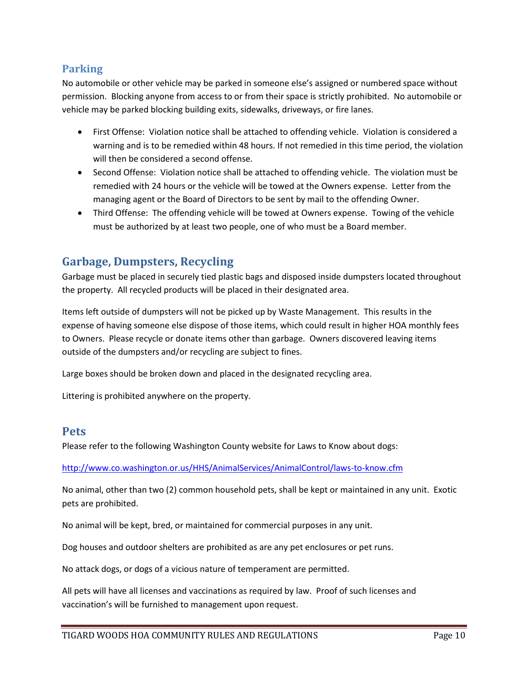#### <span id="page-9-0"></span>**Parking**

No automobile or other vehicle may be parked in someone else's assigned or numbered space without permission. Blocking anyone from access to or from their space is strictly prohibited. No automobile or vehicle may be parked blocking building exits, sidewalks, driveways, or fire lanes.

- First Offense: Violation notice shall be attached to offending vehicle. Violation is considered a warning and is to be remedied within 48 hours. If not remedied in this time period, the violation will then be considered a second offense.
- Second Offense: Violation notice shall be attached to offending vehicle. The violation must be remedied with 24 hours or the vehicle will be towed at the Owners expense. Letter from the managing agent or the Board of Directors to be sent by mail to the offending Owner.
- Third Offense: The offending vehicle will be towed at Owners expense. Towing of the vehicle must be authorized by at least two people, one of who must be a Board member.

## <span id="page-9-1"></span>**Garbage, Dumpsters, Recycling**

Garbage must be placed in securely tied plastic bags and disposed inside dumpsters located throughout the property. All recycled products will be placed in their designated area.

Items left outside of dumpsters will not be picked up by Waste Management. This results in the expense of having someone else dispose of those items, which could result in higher HOA monthly fees to Owners. Please recycle or donate items other than garbage. Owners discovered leaving items outside of the dumpsters and/or recycling are subject to fines.

Large boxes should be broken down and placed in the designated recycling area.

Littering is prohibited anywhere on the property.

#### <span id="page-9-2"></span>**Pets**

Please refer to the following Washington County website for Laws to Know about dogs:

<http://www.co.washington.or.us/HHS/AnimalServices/AnimalControl/laws-to-know.cfm>

No animal, other than two (2) common household pets, shall be kept or maintained in any unit. Exotic pets are prohibited.

No animal will be kept, bred, or maintained for commercial purposes in any unit.

Dog houses and outdoor shelters are prohibited as are any pet enclosures or pet runs.

No attack dogs, or dogs of a vicious nature of temperament are permitted.

All pets will have all licenses and vaccinations as required by law. Proof of such licenses and vaccination's will be furnished to management upon request.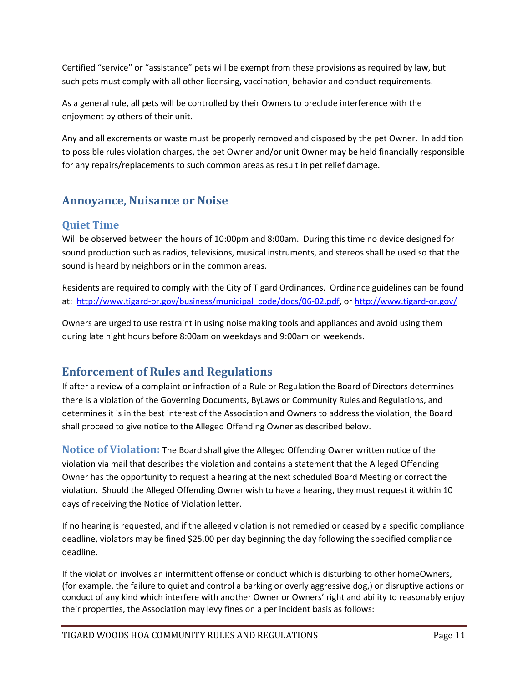Certified "service" or "assistance" pets will be exempt from these provisions as required by law, but such pets must comply with all other licensing, vaccination, behavior and conduct requirements.

As a general rule, all pets will be controlled by their Owners to preclude interference with the enjoyment by others of their unit.

Any and all excrements or waste must be properly removed and disposed by the pet Owner. In addition to possible rules violation charges, the pet Owner and/or unit Owner may be held financially responsible for any repairs/replacements to such common areas as result in pet relief damage.

## <span id="page-10-0"></span>**Annoyance, Nuisance or Noise**

#### <span id="page-10-1"></span>**Quiet Time**

Will be observed between the hours of 10:00pm and 8:00am. During this time no device designed for sound production such as radios, televisions, musical instruments, and stereos shall be used so that the sound is heard by neighbors or in the common areas.

Residents are required to comply with the City of Tigard Ordinances. Ordinance guidelines can be found at: [http://www.tigard-or.gov/business/municipal\\_code/docs/06-02.pdf,](http://www.tigard-or.gov/business/municipal_code/docs/06-02.pdf) or<http://www.tigard-or.gov/>

Owners are urged to use restraint in using noise making tools and appliances and avoid using them during late night hours before 8:00am on weekdays and 9:00am on weekends.

## <span id="page-10-2"></span>**Enforcement of Rules and Regulations**

If after a review of a complaint or infraction of a Rule or Regulation the Board of Directors determines there is a violation of the Governing Documents, ByLaws or Community Rules and Regulations, and determines it is in the best interest of the Association and Owners to address the violation, the Board shall proceed to give notice to the Alleged Offending Owner as described below.

<span id="page-10-3"></span>**Notice of Violation:** The Board shall give the Alleged Offending Owner written notice of the violation via mail that describes the violation and contains a statement that the Alleged Offending Owner has the opportunity to request a hearing at the next scheduled Board Meeting or correct the violation. Should the Alleged Offending Owner wish to have a hearing, they must request it within 10 days of receiving the Notice of Violation letter.

If no hearing is requested, and if the alleged violation is not remedied or ceased by a specific compliance deadline, violators may be fined \$25.00 per day beginning the day following the specified compliance deadline.

If the violation involves an intermittent offense or conduct which is disturbing to other homeOwners, (for example, the failure to quiet and control a barking or overly aggressive dog,) or disruptive actions or conduct of any kind which interfere with another Owner or Owners' right and ability to reasonably enjoy their properties, the Association may levy fines on a per incident basis as follows: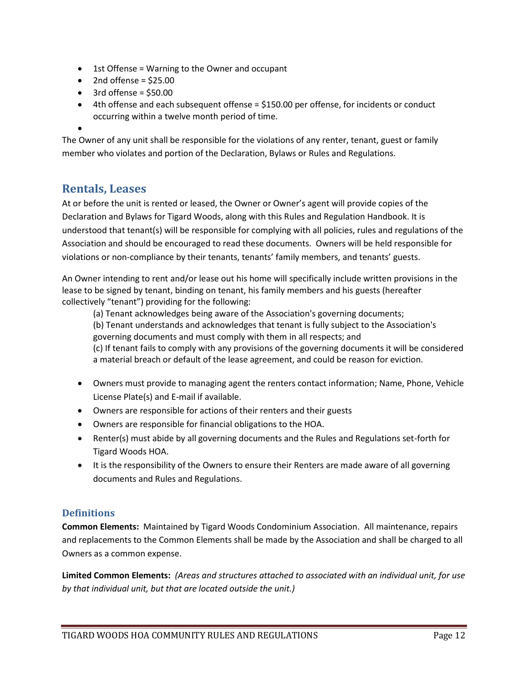- 1st Offense = Warning to the Owner and occupant
- $\bullet$  2nd offense = \$25.00
- $\bullet$  3rd offense = \$50.00
- 4th offense and each subsequent offense = \$150.00 per offense, for incidents or conduct occurring within a twelve month period of time.
- $\bullet$

The Owner of any unit shall be responsible for the violations of any renter, tenant, guest or family member who violates and portion of the Declaration, Bylaws or Rules and Regulations.

## <span id="page-11-0"></span>**Rentals, Leases**

At or before the unit is rented or leased, the Owner or Owner's agent will provide copies of the Declaration and Bylaws for Tigard Woods, along with this Rules and Regulation Handbook. It is understood that tenant(s) will be responsible for complying with all policies, rules and regulations of the Association and should be encouraged to read these documents. Owners will be held responsible for violations or non-compliance by their tenants, tenants' family members, and tenants' guests.

An Owner intending to rent and/or lease out his home will specifically include written provisions in the lease to be signed by tenant, binding on tenant, his family members and his guests (hereafter collectively "tenant") providing for the following:

(a) Tenant acknowledges being aware of the Association's governing documents;

(b) Tenant understands and acknowledges that tenant is fully subject to the Association's governing documents and must comply with them in all respects; and

(c) If tenant fails to comply with any provisions of the governing documents it will be considered a material breach or default of the lease agreement, and could be reason for eviction.

- Owners must provide to managing agent the renters contact information; Name, Phone, Vehicle License Plate(s) and E-mail if available.
- Owners are responsible for actions of their renters and their guests
- Owners are responsible for financial obligations to the HOA.
- Renter(s) must abide by all governing documents and the Rules and Regulations set-forth for Tigard Woods HOA.
- It is the responsibility of the Owners to ensure their Renters are made aware of all governing documents and Rules and Regulations.

#### <span id="page-11-1"></span>**Definitions**

**Common Elements:** Maintained by Tigard Woods Condominium Association. All maintenance, repairs and replacements to the Common Elements shall be made by the Association and shall be charged to all Owners as a common expense.

**Limited Common Elements:** *(Areas and structures attached to associated with an individual unit, for use by that individual unit, but that are located outside the unit.)*